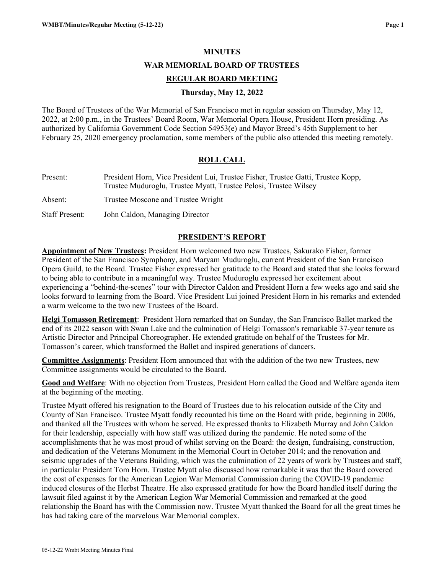#### **MINUTES**

**WAR MEMORIAL BOARD OF TRUSTEES**

#### **REGULAR BOARD MEETING**

#### **Thursday, May 12, 2022**

The Board of Trustees of the War Memorial of San Francisco met in regular session on Thursday, May 12, 2022, at 2:00 p.m., in the Trustees' Board Room, War Memorial Opera House, President Horn presiding. As authorized by California Government Code Section 54953(e) and Mayor Breed's 45th Supplement to her February 25, 2020 emergency proclamation, some members of the public also attended this meeting remotely.

## **ROLL CALL**

| Present:              | President Horn, Vice President Lui, Trustee Fisher, Trustee Gatti, Trustee Kopp,<br>Trustee Muduroglu, Trustee Myatt, Trustee Pelosi, Trustee Wilsey |
|-----------------------|------------------------------------------------------------------------------------------------------------------------------------------------------|
| Absent:               | Trustee Moscone and Trustee Wright                                                                                                                   |
| <b>Staff Present:</b> | John Caldon, Managing Director                                                                                                                       |

#### **PRESIDENT'S REPORT**

**Appointment of New Trustees:** President Horn welcomed two new Trustees, Sakurako Fisher, former President of the San Francisco Symphony, and Maryam Muduroglu, current President of the San Francisco Opera Guild, to the Board. Trustee Fisher expressed her gratitude to the Board and stated that she looks forward to being able to contribute in a meaningful way. Trustee Muduroglu expressed her excitement about experiencing a "behind-the-scenes" tour with Director Caldon and President Horn a few weeks ago and said she looks forward to learning from the Board. Vice President Lui joined President Horn in his remarks and extended a warm welcome to the two new Trustees of the Board.

**Helgi Tomasson Retirement**: President Horn remarked that on Sunday, the San Francisco Ballet marked the end of its 2022 season with Swan Lake and the culmination of Helgi Tomasson's remarkable 37-year tenure as Artistic Director and Principal Choreographer. He extended gratitude on behalf of the Trustees for Mr. Tomasson's career, which transformed the Ballet and inspired generations of dancers.

**Committee Assignments**: President Horn announced that with the addition of the two new Trustees, new Committee assignments would be circulated to the Board.

**Good and Welfare**: With no objection from Trustees, President Horn called the Good and Welfare agenda item at the beginning of the meeting.

Trustee Myatt offered his resignation to the Board of Trustees due to his relocation outside of the City and County of San Francisco. Trustee Myatt fondly recounted his time on the Board with pride, beginning in 2006, and thanked all the Trustees with whom he served. He expressed thanks to Elizabeth Murray and John Caldon for their leadership, especially with how staff was utilized during the pandemic. He noted some of the accomplishments that he was most proud of whilst serving on the Board: the design, fundraising, construction, and dedication of the Veterans Monument in the Memorial Court in October 2014; and the renovation and seismic upgrades of the Veterans Building, which was the culmination of 22 years of work by Trustees and staff, in particular President Tom Horn. Trustee Myatt also discussed how remarkable it was that the Board covered the cost of expenses for the American Legion War Memorial Commission during the COVID-19 pandemic induced closures of the Herbst Theatre. He also expressed gratitude for how the Board handled itself during the lawsuit filed against it by the American Legion War Memorial Commission and remarked at the good relationship the Board has with the Commission now. Trustee Myatt thanked the Board for all the great times he has had taking care of the marvelous War Memorial complex.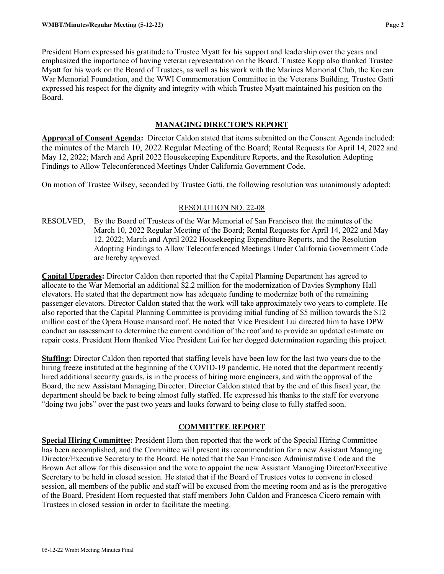President Horn expressed his gratitude to Trustee Myatt for his support and leadership over the years and emphasized the importance of having veteran representation on the Board. Trustee Kopp also thanked Trustee Myatt for his work on the Board of Trustees, as well as his work with the Marines Memorial Club, the Korean War Memorial Foundation, and the WWI Commemoration Committee in the Veterans Building. Trustee Gatti expressed his respect for the dignity and integrity with which Trustee Myatt maintained his position on the Board.

### **MANAGING DIRECTOR'S REPORT**

**Approval of Consent Agenda:** Director Caldon stated that items submitted on the Consent Agenda included: the minutes of the March 10, 2022 Regular Meeting of the Board; Rental Requests for April 14, 2022 and May 12, 2022; March and April 2022 Housekeeping Expenditure Reports, and the Resolution Adopting Findings to Allow Teleconferenced Meetings Under California Government Code.

On motion of Trustee Wilsey, seconded by Trustee Gatti, the following resolution was unanimously adopted:

## RESOLUTION NO. 22-08

RESOLVED, By the Board of Trustees of the War Memorial of San Francisco that the minutes of the March 10, 2022 Regular Meeting of the Board; Rental Requests for April 14, 2022 and May 12, 2022; March and April 2022 Housekeeping Expenditure Reports, and the Resolution Adopting Findings to Allow Teleconferenced Meetings Under California Government Code are hereby approved.

**Capital Upgrades:** Director Caldon then reported that the Capital Planning Department has agreed to allocate to the War Memorial an additional \$2.2 million for the modernization of Davies Symphony Hall elevators. He stated that the department now has adequate funding to modernize both of the remaining passenger elevators. Director Caldon stated that the work will take approximately two years to complete. He also reported that the Capital Planning Committee is providing initial funding of \$5 million towards the \$12 million cost of the Opera House mansard roof. He noted that Vice President Lui directed him to have DPW conduct an assessment to determine the current condition of the roof and to provide an updated estimate on repair costs. President Horn thanked Vice President Lui for her dogged determination regarding this project.

**Staffing:** Director Caldon then reported that staffing levels have been low for the last two years due to the hiring freeze instituted at the beginning of the COVID-19 pandemic. He noted that the department recently hired additional security guards, is in the process of hiring more engineers, and with the approval of the Board, the new Assistant Managing Director. Director Caldon stated that by the end of this fiscal year, the department should be back to being almost fully staffed. He expressed his thanks to the staff for everyone "doing two jobs" over the past two years and looks forward to being close to fully staffed soon.

# **COMMITTEE REPORT**

**Special Hiring Committee:** President Horn then reported that the work of the Special Hiring Committee has been accomplished, and the Committee will present its recommendation for a new Assistant Managing Director/Executive Secretary to the Board. He noted that the San Francisco Administrative Code and the Brown Act allow for this discussion and the vote to appoint the new Assistant Managing Director/Executive Secretary to be held in closed session. He stated that if the Board of Trustees votes to convene in closed session, all members of the public and staff will be excused from the meeting room and as is the prerogative of the Board, President Horn requested that staff members John Caldon and Francesca Cicero remain with Trustees in closed session in order to facilitate the meeting.